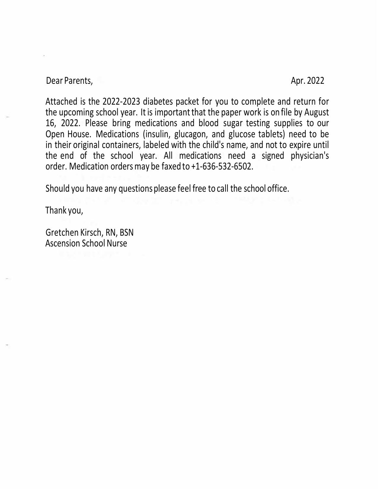Dear Parents, Apr. 2022

Attached is the 2022-2023 diabetes packet for you to complete and return for the upcoming school year. It is important that the paper work is on file by August 16, 2022. Please bring medications and blood sugar testing supplies to our Open House. Medications (insulin, glucagon, and glucose tablets) need to be in their original containers, labeled with the child's name, and not to expire until the end of the school year. All medications need a signed physician's order. Medication orders may be faxed to +1-636-532-6502.

Should you have any questions please feel free to call the school office.

Thank you,

Gretchen Kirsch, RN, BSN Ascension School Nurse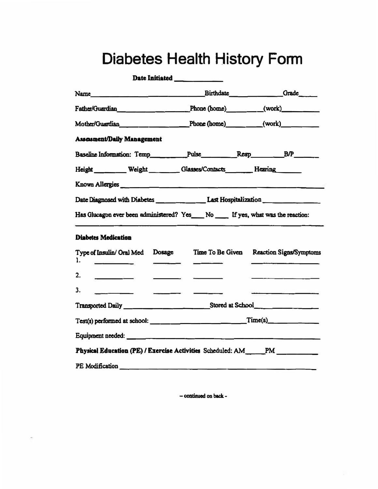## **Diabetes Health History Form**

|                                                                                                                                                                                                                                | Date Initiated ____________                                                                                                                                                                                                          |                                                                                                                 |
|--------------------------------------------------------------------------------------------------------------------------------------------------------------------------------------------------------------------------------|--------------------------------------------------------------------------------------------------------------------------------------------------------------------------------------------------------------------------------------|-----------------------------------------------------------------------------------------------------------------|
| Name Grade                                                                                                                                                                                                                     |                                                                                                                                                                                                                                      |                                                                                                                 |
| Father/Guardian _________________________________Phone (home)___________(work)______________________                                                                                                                           |                                                                                                                                                                                                                                      |                                                                                                                 |
| Mother/Guardian Phone (home) (work)                                                                                                                                                                                            |                                                                                                                                                                                                                                      |                                                                                                                 |
| Assesment/Daily Management                                                                                                                                                                                                     |                                                                                                                                                                                                                                      |                                                                                                                 |
| Baseline Information: Temp___________Pulse____________Resp___________B/P________                                                                                                                                               |                                                                                                                                                                                                                                      |                                                                                                                 |
| Height Weight Glasses/Contacts Hearing                                                                                                                                                                                         |                                                                                                                                                                                                                                      |                                                                                                                 |
| Known Allergies                                                                                                                                                                                                                |                                                                                                                                                                                                                                      |                                                                                                                 |
| Date Diagnosed with Diabetes _______________Last Hospitalization _______________                                                                                                                                               |                                                                                                                                                                                                                                      |                                                                                                                 |
| Has Glucagon ever been administered? Yes__No __ If yes, what was the reaction:                                                                                                                                                 |                                                                                                                                                                                                                                      |                                                                                                                 |
| <b>Diabetes Medication</b>                                                                                                                                                                                                     |                                                                                                                                                                                                                                      |                                                                                                                 |
| Type of Insulin/ Oral Med Dosage Time To Be Given Reaction Signs/Symptoms<br>1.                                                                                                                                                |                                                                                                                                                                                                                                      |                                                                                                                 |
| 2.<br>$\overline{\phantom{a}}$                                                                                                                                                                                                 | <u> The Communication of the Communication of the Communication of the Communication of the Communication of the Communication of the Communication of the Communication of the Communication of the Communication of the Commun</u> |                                                                                                                 |
| 3.                                                                                                                                                                                                                             |                                                                                                                                                                                                                                      | the contract of the contract of the contract of the contract of the contract of the contract of the contract of |
|                                                                                                                                                                                                                                |                                                                                                                                                                                                                                      |                                                                                                                 |
|                                                                                                                                                                                                                                |                                                                                                                                                                                                                                      |                                                                                                                 |
|                                                                                                                                                                                                                                |                                                                                                                                                                                                                                      |                                                                                                                 |
| Physical Education (PE) / Exercise Activities Scheduled: AM PM                                                                                                                                                                 |                                                                                                                                                                                                                                      |                                                                                                                 |
| PE Modification and the material control of the material control of the material control of the material control of the material control of the material control of the material control of the material control of the materi |                                                                                                                                                                                                                                      |                                                                                                                 |

- continued on back -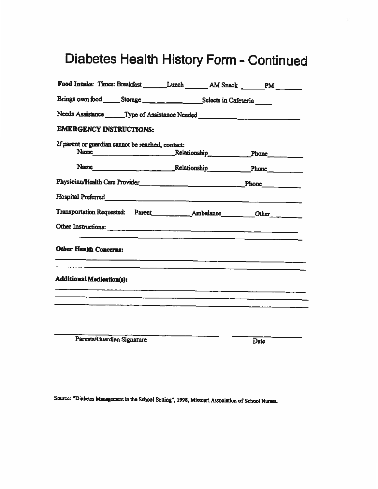# Diabetes Health History Form - Continued

| Food Intake: Times: Breakfast _______Lunch _______AM Snack ______PM _______                                                                                                                                                          |  |                                                                                                                      |
|--------------------------------------------------------------------------------------------------------------------------------------------------------------------------------------------------------------------------------------|--|----------------------------------------------------------------------------------------------------------------------|
|                                                                                                                                                                                                                                      |  |                                                                                                                      |
| Needs Assistance ________ Type of Assistance Needed ____________________________                                                                                                                                                     |  |                                                                                                                      |
| <b>EMERGENCY INSTRUCTIONS:</b>                                                                                                                                                                                                       |  |                                                                                                                      |
| If parent or guardian cannot be reached, contact:<br>Name Phone Phone                                                                                                                                                                |  |                                                                                                                      |
| Name Phone Relationship Phone                                                                                                                                                                                                        |  |                                                                                                                      |
|                                                                                                                                                                                                                                      |  |                                                                                                                      |
| Hospital Preferred <b>Executive Contract Contract Contract Contract Contract Contract Contract Contract Contract Contract Contract Contract Contract Contract Contract Contract Contract Contract Contract Contract Contract Con</b> |  |                                                                                                                      |
|                                                                                                                                                                                                                                      |  |                                                                                                                      |
|                                                                                                                                                                                                                                      |  |                                                                                                                      |
| <b>Other Health Concerns:</b>                                                                                                                                                                                                        |  |                                                                                                                      |
| <b>Additional Medication(s):</b>                                                                                                                                                                                                     |  | <u> 2001 - Jan James James James James James James James James James James James James James James James James J</u> |
|                                                                                                                                                                                                                                      |  |                                                                                                                      |
|                                                                                                                                                                                                                                      |  |                                                                                                                      |
|                                                                                                                                                                                                                                      |  |                                                                                                                      |

Parents/Guardian Signature

Date

Source: "Diabetes Management in the School Setting", 1998, Missouri Association of School Nurses.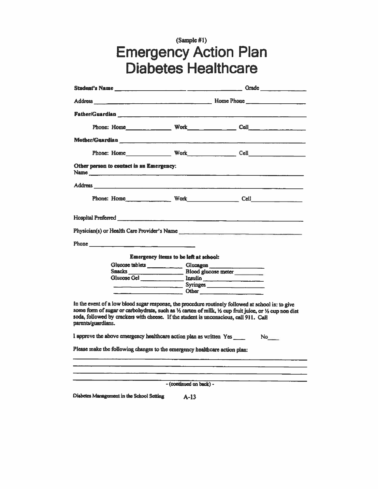# (Sample #1)<br>Emergency Action Plan<br>Diabetes Healthcare

|                                                                                                                                                                                                                                                                                                                               |                                       | Phone: Home Work Cell Cell |  |
|-------------------------------------------------------------------------------------------------------------------------------------------------------------------------------------------------------------------------------------------------------------------------------------------------------------------------------|---------------------------------------|----------------------------|--|
| Other person to contact in an Emergency:                                                                                                                                                                                                                                                                                      |                                       |                            |  |
|                                                                                                                                                                                                                                                                                                                               |                                       |                            |  |
|                                                                                                                                                                                                                                                                                                                               |                                       |                            |  |
|                                                                                                                                                                                                                                                                                                                               |                                       |                            |  |
| Physician(s) or Health Care Provider's Name                                                                                                                                                                                                                                                                                   |                                       |                            |  |
|                                                                                                                                                                                                                                                                                                                               |                                       |                            |  |
|                                                                                                                                                                                                                                                                                                                               |                                       |                            |  |
|                                                                                                                                                                                                                                                                                                                               | Emergency items to be left at school: |                            |  |
|                                                                                                                                                                                                                                                                                                                               |                                       |                            |  |
|                                                                                                                                                                                                                                                                                                                               |                                       |                            |  |
|                                                                                                                                                                                                                                                                                                                               | Glucose Gel hisulin                   |                            |  |
|                                                                                                                                                                                                                                                                                                                               | Syringes                              |                            |  |
|                                                                                                                                                                                                                                                                                                                               |                                       |                            |  |
| In the event of a low blood sugar response, the procedure routinely followed at school is: to give<br>some form of sugar or carbohydrate, such as 1/2 carton of milk, 1/2 cup fruit juice, or 1/2 cup non diet<br>soda, followed by crackers with cheese. If the student is unconscious, call 911. Call<br>parents/guardians. |                                       |                            |  |
| I approve the above emergency healthcare action plan as written Yes                                                                                                                                                                                                                                                           |                                       | $No$ <sub>____</sub>       |  |
| Please make the following changes to the emergency healthcare action plan:                                                                                                                                                                                                                                                    |                                       |                            |  |
|                                                                                                                                                                                                                                                                                                                               |                                       |                            |  |
|                                                                                                                                                                                                                                                                                                                               |                                       |                            |  |
|                                                                                                                                                                                                                                                                                                                               | - (continued on back) -               |                            |  |
| Diabetes Management in the School Setting                                                                                                                                                                                                                                                                                     | $A-13$                                |                            |  |

 $A-13$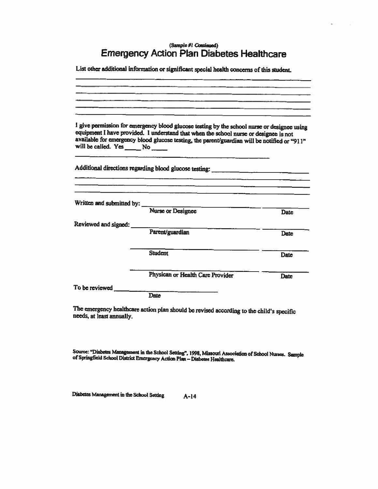### (Sample #1 Continued) **Emergency Action Plan Diabetes Healthcare**

List other additional information or significant special health concerns of this student.

|                                       | I give permission for emergency blood glucose testing by the school nurse or designee using<br>equipment I have provided. I understand that when the school nurse or designee is not |             |
|---------------------------------------|--------------------------------------------------------------------------------------------------------------------------------------------------------------------------------------|-------------|
| will be called. Yes _______ No ______ | available for emergency blood glucose testing, the parent/guardian will be notified or "911"                                                                                         |             |
|                                       | Additional directions regarding blood glucose testing: __________________________                                                                                                    |             |
| Written and submitted by:             |                                                                                                                                                                                      |             |
|                                       | <b>Nurse or Designee</b>                                                                                                                                                             | <b>Date</b> |
| Reviewed and signed:                  |                                                                                                                                                                                      |             |
|                                       | Parent/guardian                                                                                                                                                                      | <b>Date</b> |
|                                       | <b>Student</b>                                                                                                                                                                       | Date        |
|                                       | Physican or Health Care Provider                                                                                                                                                     | Date        |
| To be reviewed                        |                                                                                                                                                                                      |             |
|                                       | <b>Date</b>                                                                                                                                                                          |             |

The emergency healthcare action plan should be revised according to the child's specific needs, at least annually.

Source: "Diabetes Management in the School Setting", 1998, Missouri Association of School Nurses. Sample of Springfield School District Emergency Action Plan -- Diabetes Healthcare.

Diabetes Management in the School Setting  $A-14$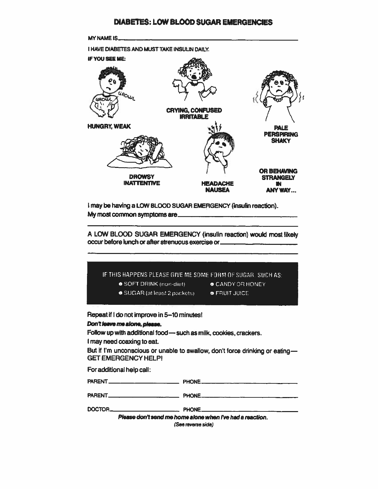

PHONE

DOCTOR\_

Please don't send me home alone when I've had a reaction. (See reverse side)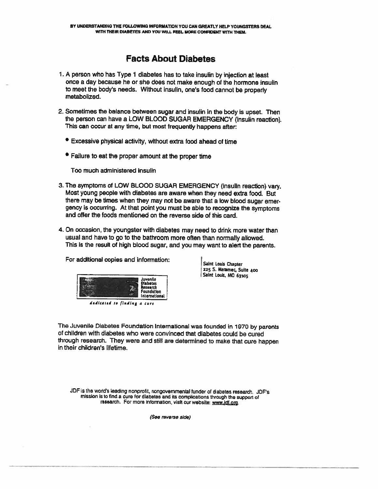## **Facts About Diabetes**

- 1. A person who has Type 1 diabetes has to take insulin by injection at least once a day because he or she does not make enough of the hormone insulin to meet the body's needs. Without insulin, one's food cannot be properly metabolized.
- 2. Sometimes the balance between sugar and insulin in the body is upset. Then the person can have a LOW BLOOD SUGAR EMERGENCY (insulin reaction). This can occur at any time, but most frequently happens after:
	- **Excessive physical activity, without extra food ahead of time**
	- Failure to eat the proper amount at the proper time

Too much administered insulin

- 3. The symptoms of LOW BLOOD SUGAR EMERGENCY (insulin reaction) vary. Most young people with diabetes are aware when they need extra food. But there may be times when they may not be aware that a low blood sugar emergency is occurring. At that point you must be able to recognize the symptoms and offer the foods mentioned on the reverse side of this card.
- 4. On occasion, the youngster with diabetes may need to drink more water than usual and have to go to the bathroom more often than normally allowed. This is the result of high blood sugar, and you may want to alert the parents.

For additional copies and information:



dadicated to finding a cure

Saint Louis Chapter 225 S. Meramec, Suite 400 Saint Louis, MO 63105

The Juvenile Diabetes Foundation International was founded in 1970 by parents of children with diabetes who were convinced that diabetes could be cured through research. They were and still are determined to make that cure happen in their children's lifetime.

JDF is the world's leading nonprofit, nongovernmental funder of diabetes research. JDF's mission is to find a cure for diabetes and its complications through the support of research. For more information, visit our website: www.ldf.org.

(See reverse side)